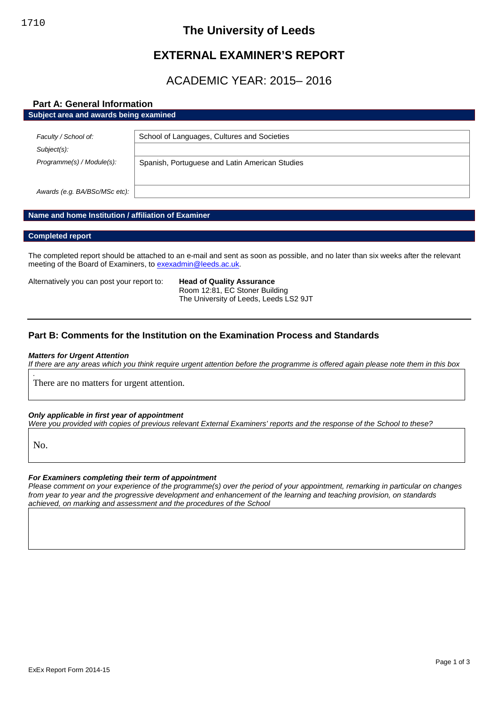## **The University of Leeds**

# **EXTERNAL EXAMINER'S REPORT**

## ACADEMIC YEAR: 2015– 2016

## **Part A: General Information**

| Subject area and awards being examined |                                                |
|----------------------------------------|------------------------------------------------|
|                                        |                                                |
| Faculty / School of:                   | School of Languages, Cultures and Societies    |
| Subject(s):                            |                                                |
| Programme(s) / Module(s):              | Spanish, Portuguese and Latin American Studies |
|                                        |                                                |
|                                        |                                                |
| Awards (e.g. BA/BSc/MSc etc):          |                                                |

## **Name and home Institution / affiliation of Examiner**

## **Completed report**

The completed report should be attached to an e-mail and sent as soon as possible, and no later than six weeks after the relevant meeting of the Board of Examiners, to [exexadmin@leeds.ac.uk.](mailto:exexadmin@leeds.ac.uk)

Alternatively you can post your report to: **Head of Quality Assurance**

Room 12:81, EC Stoner Building The University of Leeds, Leeds LS2 9JT

## **Part B: Comments for the Institution on the Examination Process and Standards**

#### *Matters for Urgent Attention*

*If there are any areas which you think require urgent attention before the programme is offered again please note them in this box*

There are no matters for urgent attention.

## *Only applicable in first year of appointment*

*Were you provided with copies of previous relevant External Examiners' reports and the response of the School to these?*

No.

*.*

## *For Examiners completing their term of appointment*

*Please comment on your experience of the programme(s) over the period of your appointment, remarking in particular on changes from year to year and the progressive development and enhancement of the learning and teaching provision, on standards achieved, on marking and assessment and the procedures of the School*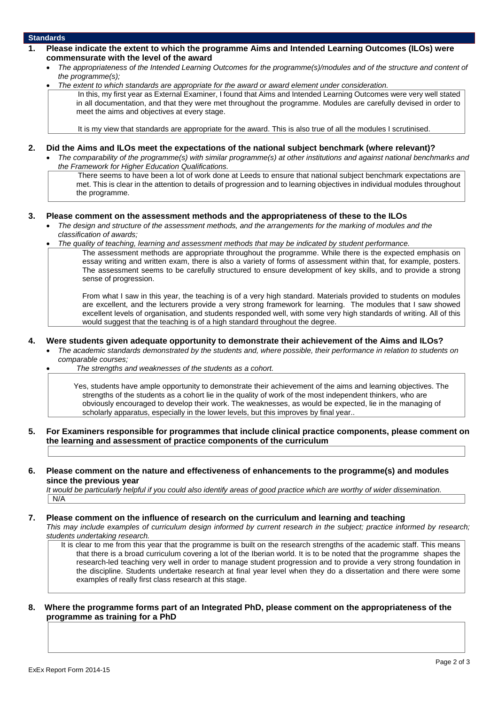### **Standards**

- **1. Please indicate the extent to which the programme Aims and Intended Learning Outcomes (ILOs) were commensurate with the level of the award**
	- *The appropriateness of the Intended Learning Outcomes for the programme(s)/modules and of the structure and content of the programme(s);*
	- *The extent to which standards are appropriate for the award or award element under consideration.*

In this, my first year as External Examiner, I found that Aims and Intended Learning Outcomes were very well stated in all documentation, and that they were met throughout the programme. Modules are carefully devised in order to meet the aims and objectives at every stage.

It is my view that standards are appropriate for the award. This is also true of all the modules I scrutinised.

#### **2. Did the Aims and ILOs meet the expectations of the national subject benchmark (where relevant)?**

 *The comparability of the programme(s) with similar programme(s) at other institutions and against national benchmarks and the Framework for Higher Education Qualifications.*

There seems to have been a lot of work done at Leeds to ensure that national subject benchmark expectations are met. This is clear in the attention to details of progression and to learning objectives in individual modules throughout the programme.

#### **3. Please comment on the assessment methods and the appropriateness of these to the ILOs**

- *The design and structure of the assessment methods, and the arrangements for the marking of modules and the classification of awards;*
- *The quality of teaching, learning and assessment methods that may be indicated by student performance.*

The assessment methods are appropriate throughout the programme. While there is the expected emphasis on essay writing and written exam, there is also a variety of forms of assessment within that, for example, posters. The assessment seems to be carefully structured to ensure development of key skills, and to provide a strong sense of progression.

From what I saw in this year, the teaching is of a very high standard. Materials provided to students on modules are excellent, and the lecturers provide a very strong framework for learning. The modules that I saw showed excellent levels of organisation, and students responded well, with some very high standards of writing. All of this would suggest that the teaching is of a high standard throughout the degree.

#### **4. Were students given adequate opportunity to demonstrate their achievement of the Aims and ILOs?**

- *The academic standards demonstrated by the students and, where possible, their performance in relation to students on comparable courses;*
	- *The strengths and weaknesses of the students as a cohort.*

Yes, students have ample opportunity to demonstrate their achievement of the aims and learning objectives. The strengths of the students as a cohort lie in the quality of work of the most independent thinkers, who are obviously encouraged to develop their work. The weaknesses, as would be expected, lie in the managing of scholarly apparatus, especially in the lower levels, but this improves by final year..

**5. For Examiners responsible for programmes that include clinical practice components, please comment on the learning and assessment of practice components of the curriculum**

#### **6. Please comment on the nature and effectiveness of enhancements to the programme(s) and modules since the previous year**

*It would be particularly helpful if you could also identify areas of good practice which are worthy of wider dissemination.* N/A

## **7. Please comment on the influence of research on the curriculum and learning and teaching**

*This may include examples of curriculum design informed by current research in the subject; practice informed by research; students undertaking research.*

It is clear to me from this year that the programme is built on the research strengths of the academic staff. This means that there is a broad curriculum covering a lot of the Iberian world. It is to be noted that the programme shapes the research-led teaching very well in order to manage student progression and to provide a very strong foundation in the discipline. Students undertake research at final year level when they do a dissertation and there were some examples of really first class research at this stage.

## **8. Where the programme forms part of an Integrated PhD, please comment on the appropriateness of the programme as training for a PhD**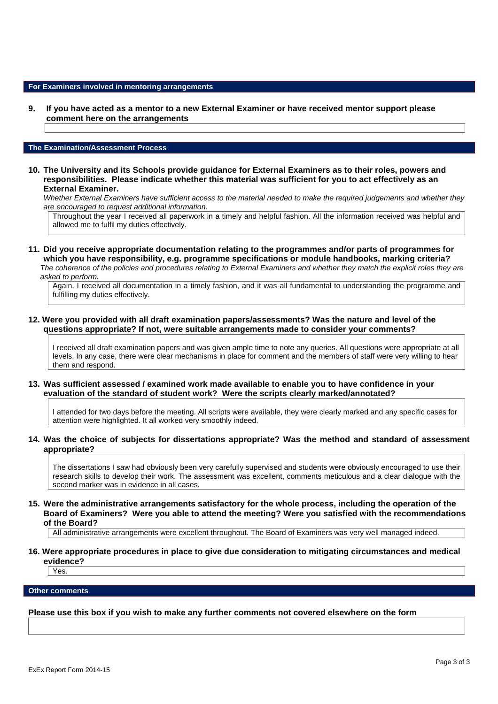#### **For Examiners involved in mentoring arrangements**

**9. If you have acted as a mentor to a new External Examiner or have received mentor support please comment here on the arrangements**

#### **The Examination/Assessment Process**

**10. The University and its Schools provide guidance for External Examiners as to their roles, powers and responsibilities. Please indicate whether this material was sufficient for you to act effectively as an External Examiner.**

*Whether External Examiners have sufficient access to the material needed to make the required judgements and whether they are encouraged to request additional information.*

Throughout the year I received all paperwork in a timely and helpful fashion. All the information received was helpful and allowed me to fulfil my duties effectively.

**11. Did you receive appropriate documentation relating to the programmes and/or parts of programmes for which you have responsibility, e.g. programme specifications or module handbooks, marking criteria?** *The coherence of the policies and procedures relating to External Examiners and whether they match the explicit roles they are asked to perform.*

Again, I received all documentation in a timely fashion, and it was all fundamental to understanding the programme and fulfilling my duties effectively.

**12. Were you provided with all draft examination papers/assessments? Was the nature and level of the questions appropriate? If not, were suitable arrangements made to consider your comments?**

I received all draft examination papers and was given ample time to note any queries. All questions were appropriate at all levels. In any case, there were clear mechanisms in place for comment and the members of staff were very willing to hear them and respond.

#### **13. Was sufficient assessed / examined work made available to enable you to have confidence in your evaluation of the standard of student work? Were the scripts clearly marked/annotated?**

I attended for two days before the meeting. All scripts were available, they were clearly marked and any specific cases for attention were highlighted. It all worked very smoothly indeed.

## **14. Was the choice of subjects for dissertations appropriate? Was the method and standard of assessment appropriate?**

The dissertations I saw had obviously been very carefully supervised and students were obviously encouraged to use their research skills to develop their work. The assessment was excellent, comments meticulous and a clear dialogue with the second marker was in evidence in all cases.

**15. Were the administrative arrangements satisfactory for the whole process, including the operation of the Board of Examiners? Were you able to attend the meeting? Were you satisfied with the recommendations of the Board?**

All administrative arrangements were excellent throughout. The Board of Examiners was very well managed indeed.

## **16. Were appropriate procedures in place to give due consideration to mitigating circumstances and medical evidence?**

Yes.

## **Other comments**

## **Please use this box if you wish to make any further comments not covered elsewhere on the form**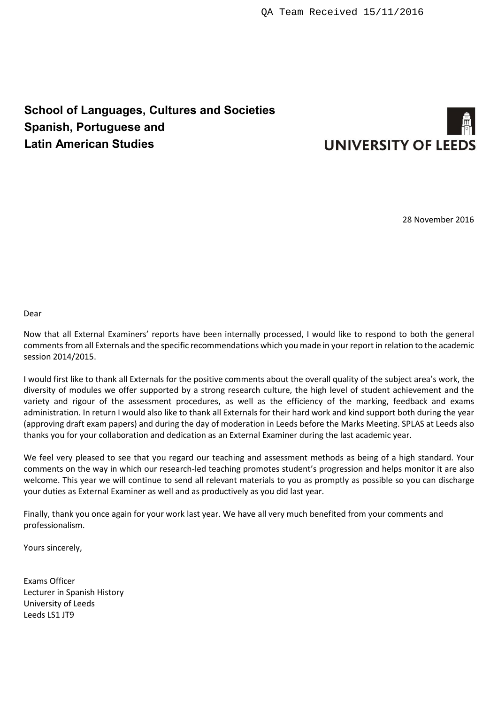# **School of Languages, Cultures and Societies Spanish, Portuguese and Latin American Studies**



28 November 2016

Dear

Now that all External Examiners' reports have been internally processed, I would like to respond to both the general comments from all Externals and the specific recommendations which you made in your report in relation to the academic session 2014/2015.

I would first like to thank all Externals for the positive comments about the overall quality of the subject area's work, the diversity of modules we offer supported by a strong research culture, the high level of student achievement and the variety and rigour of the assessment procedures, as well as the efficiency of the marking, feedback and exams administration. In return I would also like to thank all Externals for their hard work and kind support both during the year (approving draft exam papers) and during the day of moderation in Leeds before the Marks Meeting. SPLAS at Leeds also thanks you for your collaboration and dedication as an External Examiner during the last academic year.

We feel very pleased to see that you regard our teaching and assessment methods as being of a high standard. Your comments on the way in which our research-led teaching promotes student's progression and helps monitor it are also welcome. This year we will continue to send all relevant materials to you as promptly as possible so you can discharge your duties as External Examiner as well and as productively as you did last year.

Finally, thank you once again for your work last year. We have all very much benefited from your comments and professionalism.

Yours sincerely,

Exams Officer Lecturer in Spanish History University of Leeds Leeds LS1 JT9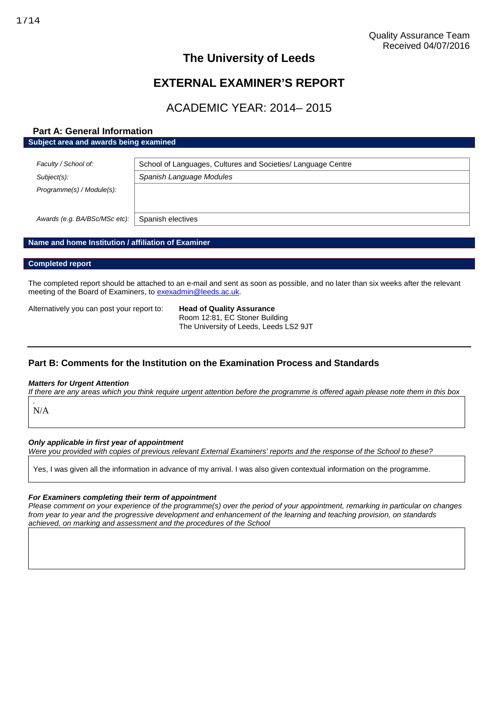## **The University of Leeds**

## **EXTERNAL EXAMINER'S REPORT**

## ACADEMIC YEAR: 2014– 2015

## **Part A: General Information Subject area and awards being examined**

| Faculty / School of:          | School of Languages, Cultures and Societies/ Language Centre |
|-------------------------------|--------------------------------------------------------------|
| Subject(s):                   | Spanish Language Modules                                     |
| Programme(s) / Module(s):     |                                                              |
| Awards (e.g. BA/BSc/MSc etc): | Spanish electives                                            |

## **Name and home Institution / affiliation of Examiner**

#### **Completed report**

The completed report should be attached to an e-mail and sent as soon as possible, and no later than six weeks after the relevant meeting of the Board of Examiners, to [exexadmin@leeds.ac.uk.](mailto:exexadmin@leeds.ac.uk)

Alternatively you can post your report to: **Head of Quality Assurance**

Room 12:81, EC Stoner Building The University of Leeds, Leeds LS2 9JT

## **Part B: Comments for the Institution on the Examination Process and Standards**

#### *Matters for Urgent Attention*

*If there are any areas which you think require urgent attention before the programme is offered again please note them in this box*

N/A

*.*

#### *Only applicable in first year of appointment*

*Were you provided with copies of previous relevant External Examiners' reports and the response of the School to these?*

Yes, I was given all the information in advance of my arrival. I was also given contextual information on the programme.

#### *For Examiners completing their term of appointment*

*Please comment on your experience of the programme(s) over the period of your appointment, remarking in particular on changes from year to year and the progressive development and enhancement of the learning and teaching provision, on standards achieved, on marking and assessment and the procedures of the School*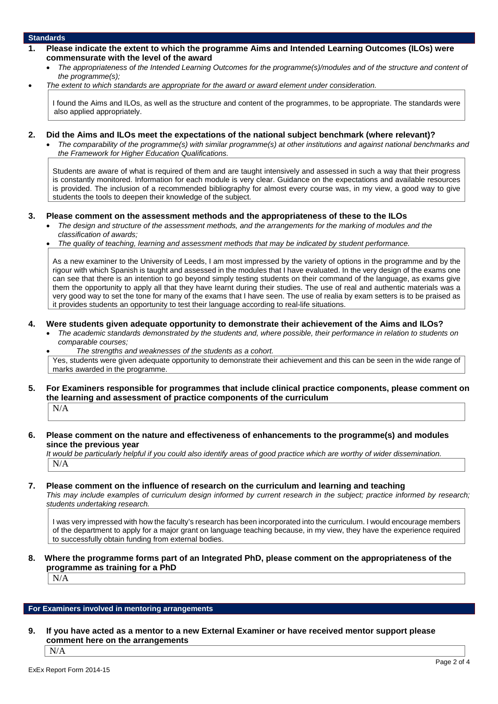## **Standards**

- **1. Please indicate the extent to which the programme Aims and Intended Learning Outcomes (ILOs) were commensurate with the level of the award**
	- *The appropriateness of the Intended Learning Outcomes for the programme(s)/modules and of the structure and content of the programme(s);*
	- *The extent to which standards are appropriate for the award or award element under consideration.*

I found the Aims and ILOs, as well as the structure and content of the programmes, to be appropriate. The standards were also applied appropriately.

#### **2. Did the Aims and ILOs meet the expectations of the national subject benchmark (where relevant)?**

 *The comparability of the programme(s) with similar programme(s) at other institutions and against national benchmarks and the Framework for Higher Education Qualifications.*

Students are aware of what is required of them and are taught intensively and assessed in such a way that their progress is constantly monitored. Information for each module is very clear. Guidance on the expectations and available resources is provided. The inclusion of a recommended bibliography for almost every course was, in my view, a good way to give students the tools to deepen their knowledge of the subject.

## **3. Please comment on the assessment methods and the appropriateness of these to the ILOs**

- *The design and structure of the assessment methods, and the arrangements for the marking of modules and the classification of awards;*
- *The quality of teaching, learning and assessment methods that may be indicated by student performance.*

As a new examiner to the University of Leeds, I am most impressed by the variety of options in the programme and by the rigour with which Spanish is taught and assessed in the modules that I have evaluated. In the very design of the exams one can see that there is an intention to go beyond simply testing students on their command of the language, as exams give them the opportunity to apply all that they have learnt during their studies. The use of real and authentic materials was a very good way to set the tone for many of the exams that I have seen. The use of realia by exam setters is to be praised as it provides students an opportunity to test their language according to real-life situations.

## **4. Were students given adequate opportunity to demonstrate their achievement of the Aims and ILOs?**

 *The academic standards demonstrated by the students and, where possible, their performance in relation to students on comparable courses;*

*The strengths and weaknesses of the students as a cohort.*

Yes, students were given adequate opportunity to demonstrate their achievement and this can be seen in the wide range of marks awarded in the programme.

**5. For Examiners responsible for programmes that include clinical practice components, please comment on the learning and assessment of practice components of the curriculum**

N/A

## **6. Please comment on the nature and effectiveness of enhancements to the programme(s) and modules since the previous year**

*It would be particularly helpful if you could also identify areas of good practice which are worthy of wider dissemination.* N/A

#### **7. Please comment on the influence of research on the curriculum and learning and teaching**

*This may include examples of curriculum design informed by current research in the subject; practice informed by research; students undertaking research.*

I was very impressed with how the faculty's research has been incorporated into the curriculum. I would encourage members of the department to apply for a major grant on language teaching because, in my view, they have the experience required to successfully obtain funding from external bodies.

## **8. Where the programme forms part of an Integrated PhD, please comment on the appropriateness of the programme as training for a PhD**

N/A

## **For Examiners involved in mentoring arrangements**

**9. If you have acted as a mentor to a new External Examiner or have received mentor support please comment here on the arrangements**

N/A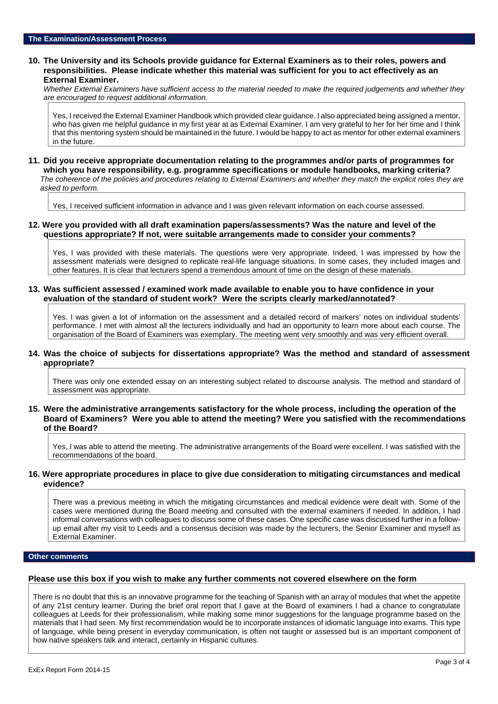## **10. The University and its Schools provide guidance for External Examiners as to their roles, powers and responsibilities. Please indicate whether this material was sufficient for you to act effectively as an External Examiner.**

*Whether External Examiners have sufficient access to the material needed to make the required judgements and whether they are encouraged to request additional information.*

Yes, I received the External Examiner Handbook which provided clear guidance. I also appreciated being assigned a mentor, who has given me helpful guidance in my first year at as External Examiner. I am very grateful to her for her time and I think that this mentoring system should be maintained in the future. I would be happy to act as mentor for other external examiners in the future.

#### **11. Did you receive appropriate documentation relating to the programmes and/or parts of programmes for which you have responsibility, e.g. programme specifications or module handbooks, marking criteria?** *The coherence of the policies and procedures relating to External Examiners and whether they match the explicit roles they are asked to perform.*

Yes, I received sufficient information in advance and I was given relevant information on each course assessed.

## **12. Were you provided with all draft examination papers/assessments? Was the nature and level of the questions appropriate? If not, were suitable arrangements made to consider your comments?**

Yes, I was provided with these materials. The questions were very appropriate. Indeed, I was impressed by how the assessment materials were designed to replicate real-life language situations. In some cases, they included images and other features. It is clear that lecturers spend a tremendous amount of time on the design of these materials.

## **13. Was sufficient assessed / examined work made available to enable you to have confidence in your evaluation of the standard of student work? Were the scripts clearly marked/annotated?**

Yes. I was given a lot of information on the assessment and a detailed record of markers' notes on individual students' performance. I met with almost all the lecturers individually and had an opportunity to learn more about each course. The organisation of the Board of Examiners was exemplary. The meeting went very smoothly and was very efficient overall.

## **14. Was the choice of subjects for dissertations appropriate? Was the method and standard of assessment appropriate?**

There was only one extended essay on an interesting subject related to discourse analysis. The method and standard of assessment was appropriate.

**15. Were the administrative arrangements satisfactory for the whole process, including the operation of the Board of Examiners? Were you able to attend the meeting? Were you satisfied with the recommendations of the Board?**

Yes, I was able to attend the meeting. The administrative arrangements of the Board were excellent. I was satisfied with the recommendations of the board.

## **16. Were appropriate procedures in place to give due consideration to mitigating circumstances and medical evidence?**

There was a previous meeting in which the mitigating circumstances and medical evidence were dealt with. Some of the cases were mentioned during the Board meeting and consulted with the external examiners if needed. In addition, I had informal conversations with colleagues to discuss some of these cases. One specific case was discussed further in a followup email after my visit to Leeds and a consensus decision was made by the lecturers, the Senior Examiner and myself as External Examiner.

## **Other comments**

## **Please use this box if you wish to make any further comments not covered elsewhere on the form**

There is no doubt that this is an innovative programme for the teaching of Spanish with an array of modules that whet the appetite of any 21st century learner. During the brief oral report that I gave at the Board of examiners I had a chance to congratulate colleagues at Leeds for their professionalism, while making some minor suggestions for the language programme based on the materials that I had seen. My first recommendation would be to incorporate instances of idiomatic language into exams. This type of language, while being present in everyday communication, is often not taught or assessed but is an important component of how native speakers talk and interact, certainly in Hispanic cultures.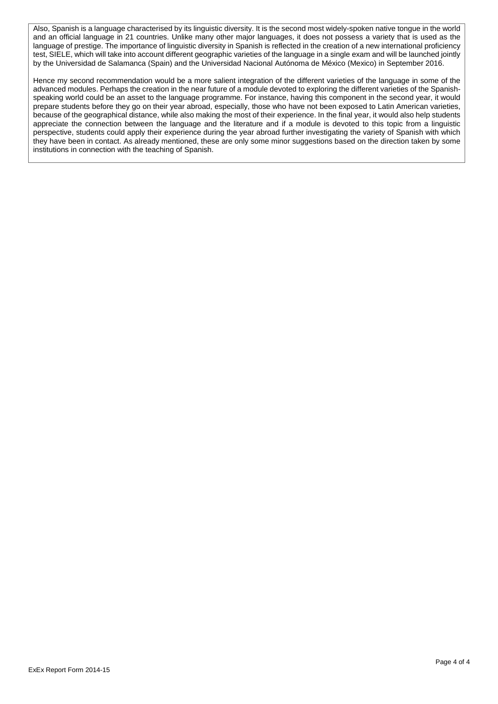Also, Spanish is a language characterised by its linguistic diversity. It is the second most widely-spoken native tongue in the world and an official language in 21 countries. Unlike many other major languages, it does not possess a variety that is used as the language of prestige. The importance of linguistic diversity in Spanish is reflected in the creation of a new international proficiency test, SIELE, which will take into account different geographic varieties of the language in a single exam and will be launched jointly by the Universidad de Salamanca (Spain) and the Universidad Nacional Autónoma de México (Mexico) in September 2016.

Hence my second recommendation would be a more salient integration of the different varieties of the language in some of the advanced modules. Perhaps the creation in the near future of a module devoted to exploring the different varieties of the Spanishspeaking world could be an asset to the language programme. For instance, having this component in the second year, it would prepare students before they go on their year abroad, especially, those who have not been exposed to Latin American varieties, because of the geographical distance, while also making the most of their experience. In the final year, it would also help students appreciate the connection between the language and the literature and if a module is devoted to this topic from a linguistic perspective, students could apply their experience during the year abroad further investigating the variety of Spanish with which they have been in contact. As already mentioned, these are only some minor suggestions based on the direction taken by some institutions in connection with the teaching of Spanish.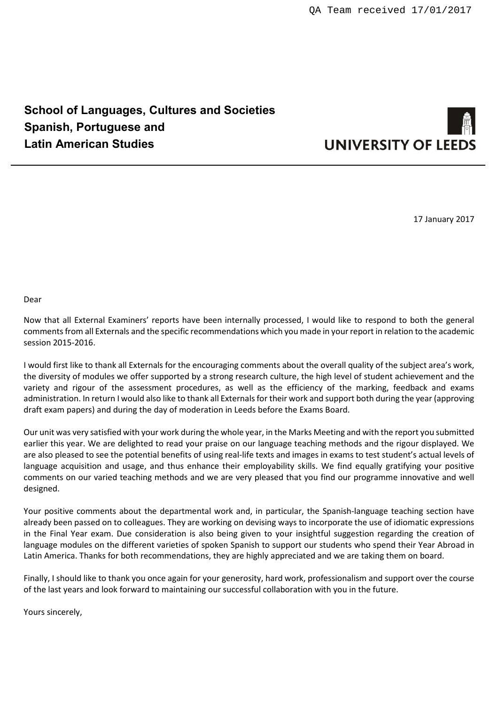# **School of Languages, Cultures and Societies Spanish, Portuguese and Latin American Studies**



17 January 2017

Dear

Now that all External Examiners' reports have been internally processed, I would like to respond to both the general comments from all Externals and the specific recommendations which you made in your report in relation to the academic session 2015-2016.

I would first like to thank all Externals for the encouraging comments about the overall quality of the subject area's work, the diversity of modules we offer supported by a strong research culture, the high level of student achievement and the variety and rigour of the assessment procedures, as well as the efficiency of the marking, feedback and exams administration. In return I would also like to thank all Externals for their work and support both during the year (approving draft exam papers) and during the day of moderation in Leeds before the Exams Board.

Our unit was very satisfied with your work during the whole year, in the Marks Meeting and with the report you submitted earlier this year. We are delighted to read your praise on our language teaching methods and the rigour displayed. We are also pleased to see the potential benefits of using real-life texts and images in exams to test student's actual levels of language acquisition and usage, and thus enhance their employability skills. We find equally gratifying your positive comments on our varied teaching methods and we are very pleased that you find our programme innovative and well designed.

Your positive comments about the departmental work and, in particular, the Spanish-language teaching section have already been passed on to colleagues. They are working on devising ways to incorporate the use of idiomatic expressions in the Final Year exam. Due consideration is also being given to your insightful suggestion regarding the creation of language modules on the different varieties of spoken Spanish to support our students who spend their Year Abroad in Latin America. Thanks for both recommendations, they are highly appreciated and we are taking them on board.

Finally, I should like to thank you once again for your generosity, hard work, professionalism and support over the course of the last years and look forward to maintaining our successful collaboration with you in the future.

Yours sincerely,